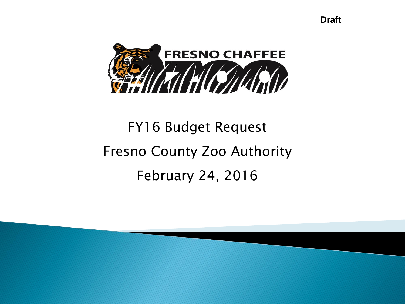**Draft**



# FY16 Budget Request Fresno County Zoo Authority February 24, 2016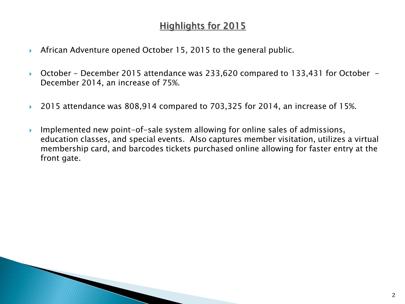# **Highlights for 2015**

- African Adventure opened October 15, 2015 to the general public.
- ▶ October December 2015 attendance was 233,620 compared to 133,431 for October December 2014, an increase of 75%.
- ▶ 2015 attendance was 808,914 compared to 703,325 for 2014, an increase of 15%.
- **Implemented new point-of-sale system allowing for online sales of admissions,** education classes, and special events. Also captures member visitation, utilizes a virtual membership card, and barcodes tickets purchased online allowing for faster entry at the front gate.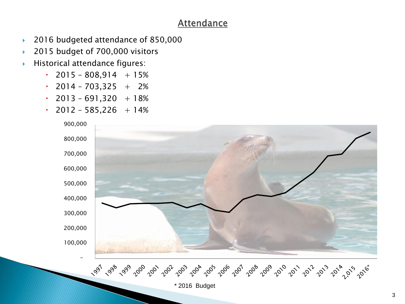## **Attendance**

- 2016 budgeted attendance of 850,000
- ▶ 2015 budget of 700,000 visitors
- Historical attendance figures:
	- $\cdot$  2015 808,914 + 15%
	- $\cdot$  2014 703,325 + 2%
	- $\cdot$  2013 691,320 + 18%
	- $\cdot$  2012 585,226 + 14%

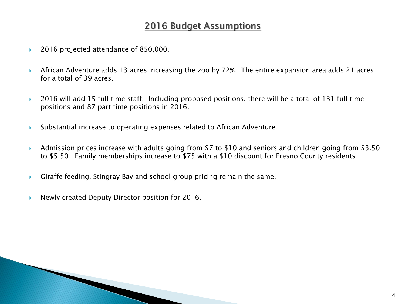# 2016 Budget Assumptions

- ▶ 2016 projected attendance of 850,000.
- African Adventure adds 13 acres increasing the zoo by 72%. The entire expansion area adds 21 acres for a total of 39 acres.
- ▶ 2016 will add 15 full time staff. Including proposed positions, there will be a total of 131 full time positions and 87 part time positions in 2016.
- Substantial increase to operating expenses related to African Adventure.
- Admission prices increase with adults going from \$7 to \$10 and seniors and children going from \$3.50 to \$5.50. Family memberships increase to \$75 with a \$10 discount for Fresno County residents.
- Giraffe feeding, Stingray Bay and school group pricing remain the same.
- Newly created Deputy Director position for 2016.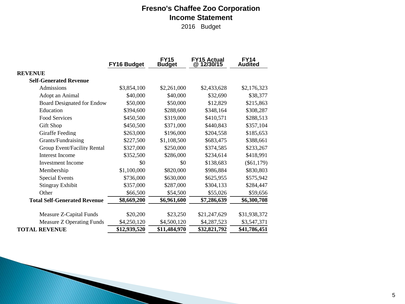## **Fresno's Chaffee Zoo Corporation Income Statement**

2016 Budget

|                                     | FY16 Budget  | <b>FY15</b><br><b>Budget</b> | <b>FY15 Actual</b><br>@ 12/30/15 | <b>FY14</b><br><b>Audited</b> |
|-------------------------------------|--------------|------------------------------|----------------------------------|-------------------------------|
| <b>REVENUE</b>                      |              |                              |                                  |                               |
| <b>Self-Generated Revenue</b>       |              |                              |                                  |                               |
| Admissions                          | \$3,854,100  | \$2,261,000                  | \$2,433,628                      | \$2,176,323                   |
| Adopt an Animal                     | \$40,000     | \$40,000                     | \$32,690                         | \$38,377                      |
| <b>Board Designated for Endow</b>   | \$50,000     | \$50,000                     | \$12,829                         | \$215,863                     |
| Education                           | \$394,600    | \$288,600                    | \$348,164                        | \$308,287                     |
| <b>Food Services</b>                | \$450,500    | \$319,000                    | \$410,571                        | \$288,513                     |
| Gift Shop                           | \$450,500    | \$371,000                    | \$440,843                        | \$357,104                     |
| Giraffe Feeding                     | \$263,000    | \$196,000                    | \$204,558                        | \$185,653                     |
| Grants/Fundraising                  | \$227,500    | \$1,108,500                  | \$683,475                        | \$388,661                     |
| Group Event/Facility Rental         | \$327,000    | \$250,000                    | \$374,585                        | \$233,267                     |
| <b>Interest Income</b>              | \$352,500    | \$286,000                    | \$234,614                        | \$418,991                     |
| Investment Income                   | \$0          | \$0                          | \$138,683                        | $(\$61,179)$                  |
| Membership                          | \$1,100,000  | \$820,000                    | \$986,884                        | \$830,803                     |
| <b>Special Events</b>               | \$736,000    | \$630,000                    | \$625,955                        | \$575,942                     |
| <b>Stingray Exhibit</b>             | \$357,000    | \$287,000                    | \$304,133                        | \$284,447                     |
| Other                               | \$66,500     | \$54,500                     | \$55,026                         | \$59,656                      |
| <b>Total Self-Generated Revenue</b> | \$8,669,200  | \$6,961,600                  | \$7,286,639                      | \$6,300,708                   |
| Measure Z-Capital Funds             | \$20,200     | \$23,250                     | \$21,247,629                     | \$31,938,372                  |
| <b>Measure Z Operating Funds</b>    | \$4,250,120  | \$4,500,120                  | \$4,287,523                      | \$3,547,371                   |
| <b>TOTAL REVENUE</b>                | \$12,939,520 | \$11,484,970                 | \$32,821,792                     | \$41,786,451                  |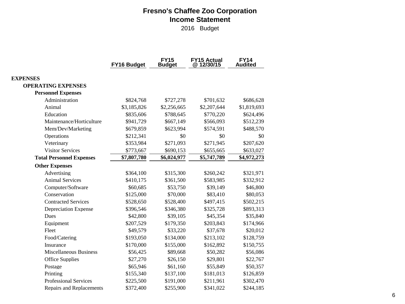#### **Fresno's Chaffee Zoo Corporation Income Statement**

2016 Budget

|                                 | FY16 Budget | <b>FY15</b><br><b>Budget</b> | FY15 Actual<br>@ 12/30/15 | <b>FY14</b><br><b>Audited</b> |
|---------------------------------|-------------|------------------------------|---------------------------|-------------------------------|
| <b>EXPENSES</b>                 |             |                              |                           |                               |
| <b>OPERATING EXPENSES</b>       |             |                              |                           |                               |
| <b>Personnel Expenses</b>       |             |                              |                           |                               |
| Administration                  | \$824,768   | \$727,278                    | \$701,632                 | \$686,628                     |
| Animal                          | \$3,185,826 | \$2,256,665                  | \$2,207,644               | \$1,819,693                   |
| Education                       | \$835,606   | \$788,645                    | \$770,220                 | \$624,496                     |
| Maintenance/Horticulture        | \$941,729   | \$667,149                    | \$566,093                 | \$512,239                     |
| Mem/Dev/Marketing               | \$679,859   | \$623,994                    | \$574,591                 | \$488,570                     |
| Operations                      | \$212,341   | \$0                          | \$0                       | \$0                           |
| Veterinary                      | \$353,984   | \$271,093                    | \$271,945                 | \$207,620                     |
| <b>Visitor Services</b>         | \$773,667   | \$690,153                    | \$655,665                 | \$633,027                     |
| <b>Total Personnel Expenses</b> | \$7,807,780 | \$6,024,977                  | \$5,747,789               | \$4,972,273                   |
| <b>Other Expenses</b>           |             |                              |                           |                               |
| Advertising                     | \$364,100   | \$315,300                    | \$260,242                 | \$321,971                     |
| <b>Animal Services</b>          | \$410,175   | \$361,500                    | \$583,985                 | \$332,912                     |
| Computer/Software               | \$60,685    | \$53,750                     | \$39,149                  | \$46,800                      |
| Conservation                    | \$125,000   | \$70,000                     | \$83,410                  | \$80,053                      |
| <b>Contracted Services</b>      | \$528,650   | \$528,400                    | \$497,415                 | \$502,215                     |
| Depreciation Expense            | \$396,546   | \$346,380                    | \$325,728                 | \$893,313                     |
| <b>Dues</b>                     | \$42,800    | \$39,105                     | \$45,354                  | \$35,840                      |
| Equipment                       | \$207,529   | \$179,350                    | \$203,843                 | \$174,966                     |
| Fleet                           | \$49,579    | \$33,220                     | \$37,678                  | \$20,012                      |
| Food/Catering                   | \$193,050   | \$134,000                    | \$213,102                 | \$128,759                     |
| Insurance                       | \$170,000   | \$155,000                    | \$162,892                 | \$150,755                     |
| <b>Miscellaneous Business</b>   | \$56,425    | \$89,668                     | \$50,282                  | \$56,086                      |
| <b>Office Supplies</b>          | \$27,270    | \$26,150                     | \$29,801                  | \$22,767                      |
| Postage                         | \$65,946    | \$61,160                     | \$55,849                  | \$50,357                      |
| Printing                        | \$155,340   | \$137,100                    | \$181,013                 | \$126,859                     |
| <b>Professional Services</b>    | \$225,500   | \$191,000                    | \$211,961                 | \$302,470                     |
| <b>Repairs and Replacements</b> | \$372,400   | \$255,900                    | \$341,022                 | \$244,185                     |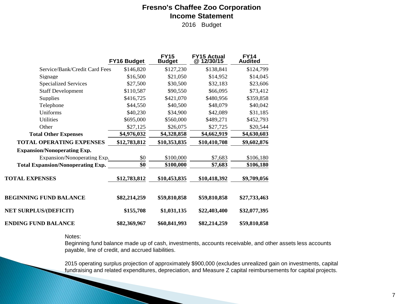#### **Fresno's Chaffee Zoo Corporation Income Statement**

2016 Budget

|                                          | FY16 Budget  | <b>FY15</b><br><b>Budget</b> | <b>FY15 Actual</b><br>@12/30/15 | <b>FY14</b><br><b>Audited</b> |
|------------------------------------------|--------------|------------------------------|---------------------------------|-------------------------------|
| Service/Bank/Credit Card Fees            | \$146,820    | \$127,230                    | \$138,841                       | \$124,799                     |
| Signage                                  | \$16,500     | \$21,050                     | \$14,952                        | \$14,045                      |
| <b>Specialized Services</b>              | \$27,500     | \$30,500                     | \$32,183                        | \$23,606                      |
| <b>Staff Development</b>                 | \$110,587    | \$90,550                     | \$66,095                        | \$73,412                      |
| <b>Supplies</b>                          | \$416,725    | \$421,070                    | \$480,956                       | \$359,858                     |
| Telephone                                | \$44,550     | \$40,500                     | \$48,079                        | \$40,042                      |
| Uniforms                                 | \$40,230     | \$34,900                     | \$42,089                        | \$31,185                      |
| <b>Utilities</b>                         | \$695,000    | \$560,000                    | \$489,271                       | \$452,793                     |
| Other                                    | \$27,125     | \$26,075                     | \$27,725                        | \$20,544                      |
| <b>Total Other Expenses</b>              | \$4,976,032  | \$4,328,858                  | \$4,662,919                     | \$4,630,603                   |
| <b>TOTAL OPERATING EXPENSES</b>          | \$12,783,812 | \$10,353,835                 | \$10,410,708                    | \$9,602,876                   |
| <b>Expansion/Nonoperating Exp.</b>       |              |                              |                                 |                               |
| Expansion/Nonoperating Exp.              | \$0          | \$100,000                    | \$7,683                         | \$106,180                     |
| <b>Total Expansion/Nonoperating Exp.</b> | \$0          | \$100,000                    | \$7,683                         | \$106,180                     |
| <b>TOTAL EXPENSES</b>                    | \$12,783,812 | \$10,453,835                 | \$10,418,392                    | \$9,709,056                   |
| <b>BEGINNING FUND BALANCE</b>            | \$82,214,259 | \$59,810,858                 | \$59,810,858                    | \$27,733,463                  |
| <b>NET SURPLUS/(DEFICIT)</b>             | \$155,708    | \$1,031,135                  | \$22,403,400                    | \$32,077,395                  |
| <b>ENDING FUND BALANCE</b>               | \$82,369,967 | \$60,841,993                 | \$82,214,259                    | \$59,810,858                  |

Notes:

**The Common Seconds** 

Beginning fund balance made up of cash, investments, accounts receivable, and other assets less accounts payable, line of credit, and accrued liabilities.

2015 operating surplus projection of approximately \$900,000 (excludes unrealized gain on investments, capital fundraising and related expenditures, depreciation, and Measure Z capital reimbursements for capital projects.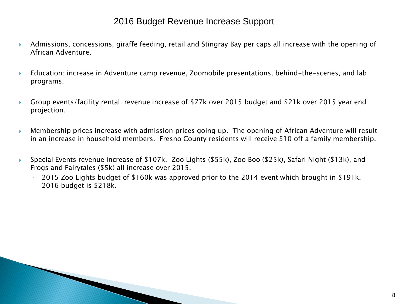### 2016 Budget Revenue Increase Support

- Admissions, concessions, giraffe feeding, retail and Stingray Bay per caps all increase with the opening of African Adventure.
- Education: increase in Adventure camp revenue, Zoomobile presentations, behind-the-scenes, and lab programs.
- Group events/facility rental: revenue increase of \$77k over 2015 budget and \$21k over 2015 year end projection.
- Membership prices increase with admission prices going up. The opening of African Adventure will result in an increase in household members. Fresno County residents will receive \$10 off a family membership.
- Special Events revenue increase of \$107k. Zoo Lights (\$55k), Zoo Boo (\$25k), Safari Night (\$13k), and Frogs and Fairytales (\$5k) all increase over 2015.
	- 2015 Zoo Lights budget of \$160k was approved prior to the 2014 event which brought in \$191k. 2016 budget is \$218k.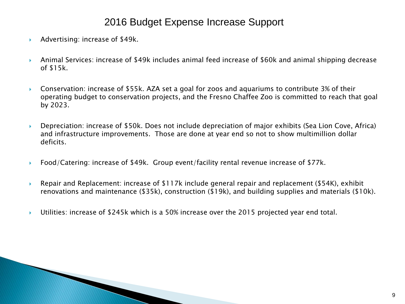# 2016 Budget Expense Increase Support

- Advertising: increase of \$49k.
- Animal Services: increase of \$49k includes animal feed increase of \$60k and animal shipping decrease of \$15k.
- Conservation: increase of \$55k. AZA set a goal for zoos and aquariums to contribute 3% of their operating budget to conservation projects, and the Fresno Chaffee Zoo is committed to reach that goal by 2023.
- Depreciation: increase of \$50k. Does not include depreciation of major exhibits (Sea Lion Cove, Africa) and infrastructure improvements. Those are done at year end so not to show multimillion dollar deficits.
- Food/Catering: increase of \$49k. Group event/facility rental revenue increase of \$77k.
- Repair and Replacement: increase of \$117k include general repair and replacement (\$54K), exhibit renovations and maintenance (\$35k), construction (\$19k), and building supplies and materials (\$10k).
- Utilities: increase of \$245k which is a 50% increase over the 2015 projected year end total.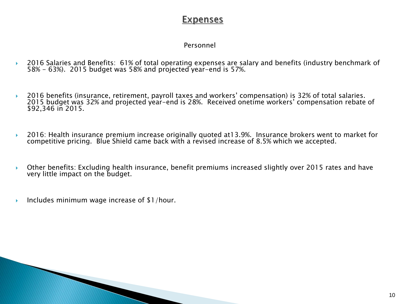## **Expenses**

#### Personnel

- ▶ 2016 Salaries and Benefits: 61% of total operating expenses are salary and benefits (industry benchmark of 58% - 63%). 2015 budget was 58% and projected year-end is 57%.
- ▶ 2016 benefits (insurance, retirement, payroll taxes and workers' compensation) is 32% of total salaries. 2015 budget was 32% and projected year-end is 28%. Received onetime workers' compensation rebate of \$92,346 in 2015.
- 2016: Health insurance premium increase originally quoted at13.9%. Insurance brokers went to market for competitive pricing. Blue Shield came back with a revised increase of 8.5% which we accepted.
- Other benefits: Excluding health insurance, benefit premiums increased slightly over 2015 rates and have very little impact on the budget.
- Includes minimum wage increase of \$1/hour.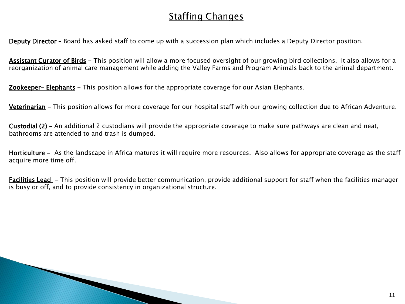# **Staffing Changes**

Deputy Director – Board has asked staff to come up with a succession plan which includes a Deputy Director position.

Assistant Curator of Birds - This position will allow a more focused oversight of our growing bird collections. It also allows for a reorganization of animal care management while adding the Valley Farms and Program Animals back to the animal department.

Zookeeper- Elephants - This position allows for the appropriate coverage for our Asian Elephants.

**MARCON** 

Veterinarian – This position allows for more coverage for our hospital staff with our growing collection due to African Adventure.

Custodial (2) – An additional 2 custodians will provide the appropriate coverage to make sure pathways are clean and neat, bathrooms are attended to and trash is dumped.

Horticulture - As the landscape in Africa matures it will require more resources. Also allows for appropriate coverage as the staff acquire more time off.

Facilities Lead - This position will provide better communication, provide additional support for staff when the facilities manager is busy or off, and to provide consistency in organizational structure.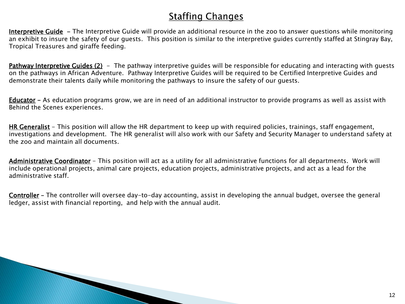# **Staffing Changes**

Interpretive Guide - The Interpretive Guide will provide an additional resource in the zoo to answer questions while monitoring an exhibit to insure the safety of our guests. This position is similar to the interpretive guides currently staffed at Stingray Bay, Tropical Treasures and giraffe feeding.

Pathway Interpretive Guides (2) - The pathway interpretive guides will be responsible for educating and interacting with guests on the pathways in African Adventure. Pathway Interpretive Guides will be required to be Certified Interpretive Guides and demonstrate their talents daily while monitoring the pathways to insure the safety of our guests.

Educator - As education programs grow, we are in need of an additional instructor to provide programs as well as assist with Behind the Scenes experiences.

HR Generalist - This position will allow the HR department to keep up with required policies, trainings, staff engagement, investigations and development. The HR generalist will also work with our Safety and Security Manager to understand safety at the zoo and maintain all documents.

Administrative Coordinator - This position will act as a utility for all administrative functions for all departments. Work will include operational projects, animal care projects, education projects, administrative projects, and act as a lead for the administrative staff.

Controller – The controller will oversee day-to-day accounting, assist in developing the annual budget, oversee the general ledger, assist with financial reporting, and help with the annual audit.

and the contract of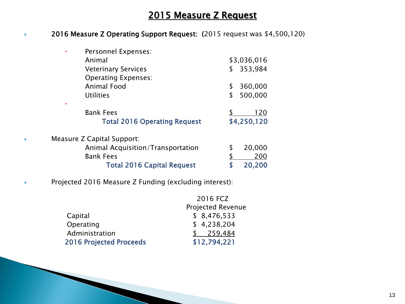## 2015 Measure Z Request

#### ◆ 2016 Measure Z Operating Support Request: (2015 request was \$4,500,120)

| \$3,036,016 |
|-------------|
| 353,984     |
|             |
| 360,000     |
| 500,000     |
|             |
| 120         |
| \$4,250,120 |
|             |
| 20,000      |
| 200         |
| 20,200      |
|             |

#### Projected 2016 Measure Z Funding (excluding interest):

|                                | 2016 FCZ                 |
|--------------------------------|--------------------------|
|                                | <b>Projected Revenue</b> |
| Capital                        | \$8,476,533              |
| Operating                      | \$4,238,204              |
| Administration                 | 259,484                  |
| <b>2016 Projected Proceeds</b> | \$12,794,221             |
|                                |                          |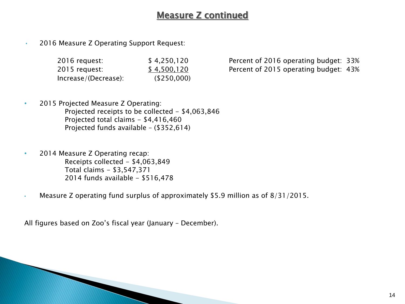## Measure Z continued

• 2016 Measure Z Operating Support Request:

| 2016 request:        | \$4,250,120 |
|----------------------|-------------|
| 2015 request:        | \$4,500,120 |
| Increase/(Decrease): | (\$250,000) |

Percent of 2016 operating budget: 33% Percent of 2015 operating budget: 43%

- 2015 Projected Measure Z Operating: Projected receipts to be collected - \$4,063,846 Projected total claims - \$4,416,460 Projected funds available – (\$352,614)
- 2014 Measure Z Operating recap: Receipts collected - \$4,063,849 Total claims - \$3,547,371 2014 funds available - \$516,478
- Measure Z operating fund surplus of approximately \$5.9 million as of 8/31/2015.

All figures based on Zoo's fiscal year (January – December).